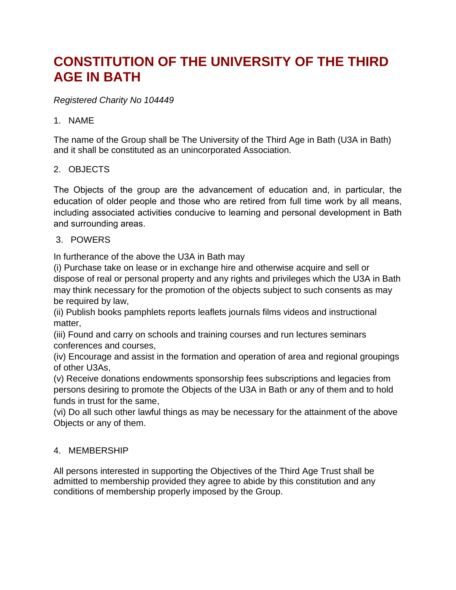# **CONSTITUTION OF THE UNIVERSITY OF THE THIRD AGE IN BATH**

#### *Registered Charity No 104449*

#### 1. NAME

The name of the Group shall be The University of the Third Age in Bath (U3A in Bath) and it shall be constituted as an unincorporated Association.

#### 2. OBJECTS

The Objects of the group are the advancement of education and, in particular, the education of older people and those who are retired from full time work by all means, including associated activities conducive to learning and personal development in Bath and surrounding areas.

#### 3. POWERS

In furtherance of the above the U3A in Bath may

(i) Purchase take on lease or in exchange hire and otherwise acquire and sell or dispose of real or personal property and any rights and privileges which the U3A in Bath may think necessary for the promotion of the objects subject to such consents as may be required by law,

(ii) Publish books pamphlets reports leaflets journals films videos and instructional matter,

(iii) Found and carry on schools and training courses and run lectures seminars conferences and courses,

(iv) Encourage and assist in the formation and operation of area and regional groupings of other U3As,

(v) Receive donations endowments sponsorship fees subscriptions and legacies from persons desiring to promote the Objects of the U3A in Bath or any of them and to hold funds in trust for the same,

(vi) Do all such other lawful things as may be necessary for the attainment of the above Objects or any of them.

#### 4. MEMBERSHIP

All persons interested in supporting the Objectives of the Third Age Trust shall be admitted to membership provided they agree to abide by this constitution and any conditions of membership properly imposed by the Group.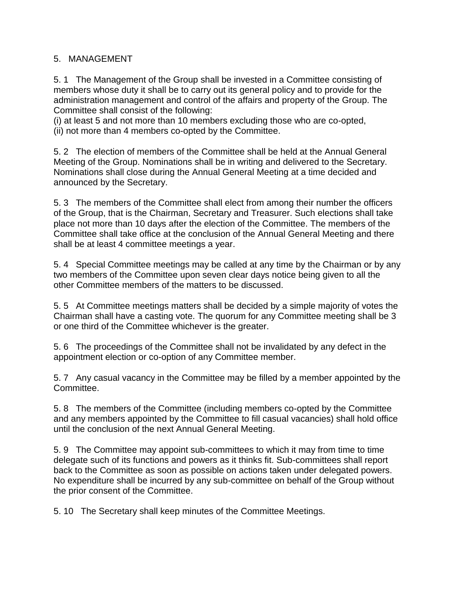#### 5. MANAGEMENT

5. 1 The Management of the Group shall be invested in a Committee consisting of members whose duty it shall be to carry out its general policy and to provide for the administration management and control of the affairs and property of the Group. The Committee shall consist of the following:

(i) at least 5 and not more than 10 members excluding those who are co-opted, (ii) not more than 4 members co-opted by the Committee.

5. 2 The election of members of the Committee shall be held at the Annual General Meeting of the Group. Nominations shall be in writing and delivered to the Secretary. Nominations shall close during the Annual General Meeting at a time decided and announced by the Secretary.

5. 3 The members of the Committee shall elect from among their number the officers of the Group, that is the Chairman, Secretary and Treasurer. Such elections shall take place not more than 10 days after the election of the Committee. The members of the Committee shall take office at the conclusion of the Annual General Meeting and there shall be at least 4 committee meetings a year.

5. 4 Special Committee meetings may be called at any time by the Chairman or by any two members of the Committee upon seven clear days notice being given to all the other Committee members of the matters to be discussed.

5. 5 At Committee meetings matters shall be decided by a simple majority of votes the Chairman shall have a casting vote. The quorum for any Committee meeting shall be 3 or one third of the Committee whichever is the greater.

5. 6 The proceedings of the Committee shall not be invalidated by any defect in the appointment election or co-option of any Committee member.

5. 7 Any casual vacancy in the Committee may be filled by a member appointed by the Committee.

5. 8 The members of the Committee (including members co-opted by the Committee and any members appointed by the Committee to fill casual vacancies) shall hold office until the conclusion of the next Annual General Meeting.

5. 9 The Committee may appoint sub-committees to which it may from time to time delegate such of its functions and powers as it thinks fit. Sub-committees shall report back to the Committee as soon as possible on actions taken under delegated powers. No expenditure shall be incurred by any sub-committee on behalf of the Group without the prior consent of the Committee.

5. 10 The Secretary shall keep minutes of the Committee Meetings.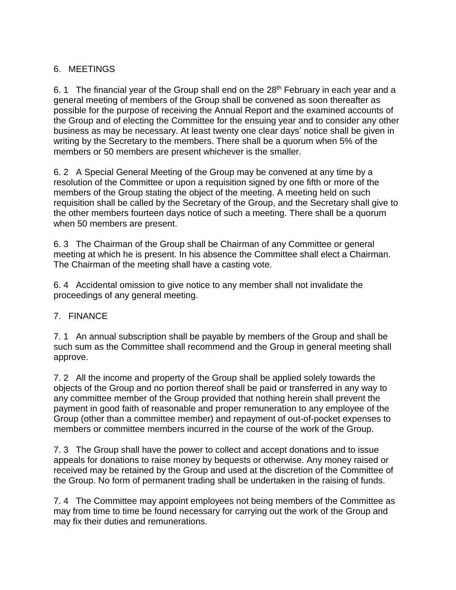### 6. MEETINGS

6. 1 The financial year of the Group shall end on the  $28<sup>th</sup>$  February in each year and a general meeting of members of the Group shall be convened as soon thereafter as possible for the purpose of receiving the Annual Report and the examined accounts of the Group and of electing the Committee for the ensuing year and to consider any other business as may be necessary. At least twenty one clear days' notice shall be given in writing by the Secretary to the members. There shall be a quorum when 5% of the members or 50 members are present whichever is the smaller.

6. 2 A Special General Meeting of the Group may be convened at any time by a resolution of the Committee or upon a requisition signed by one fifth or more of the members of the Group stating the object of the meeting. A meeting held on such requisition shall be called by the Secretary of the Group, and the Secretary shall give to the other members fourteen days notice of such a meeting. There shall be a quorum when 50 members are present.

6. 3 The Chairman of the Group shall be Chairman of any Committee or general meeting at which he is present. In his absence the Committee shall elect a Chairman. The Chairman of the meeting shall have a casting vote.

6. 4 Accidental omission to give notice to any member shall not invalidate the proceedings of any general meeting.

#### 7. FINANCE

7. 1 An annual subscription shall be payable by members of the Group and shall be such sum as the Committee shall recommend and the Group in general meeting shall approve.

7. 2 All the income and property of the Group shall be applied solely towards the objects of the Group and no portion thereof shall be paid or transferred in any way to any committee member of the Group provided that nothing herein shall prevent the payment in good faith of reasonable and proper remuneration to any employee of the Group (other than a committee member) and repayment of out-of-pocket expenses to members or committee members incurred in the course of the work of the Group.

7. 3 The Group shall have the power to collect and accept donations and to issue appeals for donations to raise money by bequests or otherwise. Any money raised or received may be retained by the Group and used at the discretion of the Committee of the Group. No form of permanent trading shall be undertaken in the raising of funds.

7. 4 The Committee may appoint employees not being members of the Committee as may from time to time be found necessary for carrying out the work of the Group and may fix their duties and remunerations.